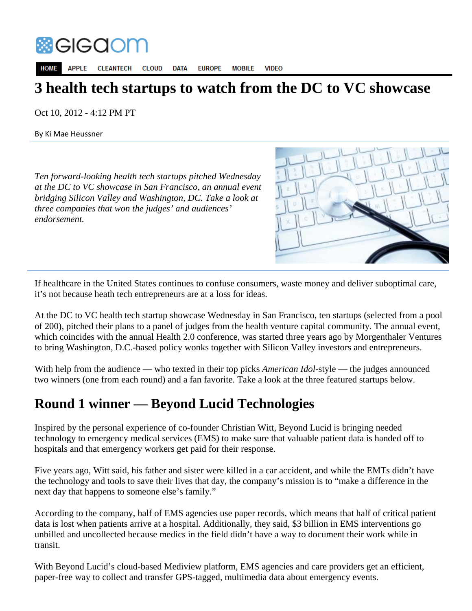

**HOME APPLE CLOUD DATA FUROPE MORILE VIDEO CLEANTECH** 

## **3 health tech startups to watch from the DC to VC showcase**

Oct 10, 2012 - 4:12 PM PT

By Ki Mae Heussner

*Ten forward-looking health tech startups pitched Wednesday at the DC to VC showcase in San Francisco, an annual event bridging Silicon Valley and Washington, DC. Take a look at three companies that won the judges' and audiences' endorsement.* 



If healthcare in the United States continues to confuse consumers, waste money and deliver suboptimal care, it's not because heath tech entrepreneurs are at a loss for ideas.

At the DC to VC health tech startup showcase Wednesday in San Francisco, ten startups (selected from a pool of 200), pitched their plans to a panel of judges from the health venture capital community. The annual event, which coincides with the annual Health 2.0 conference, was started three years ago by Morgenthaler Ventures to bring Washington, D.C.-based policy wonks together with Silicon Valley investors and entrepreneurs.

With help from the audience — who texted in their top picks *American Idol-*style — the judges announced two winners (one from each round) and a fan favorite. Take a look at the three featured startups below.

## **Round 1 winner — Beyond Lucid Technologies**

Inspired by the personal experience of co-founder Christian Witt, Beyond Lucid is bringing needed technology to emergency medical services (EMS) to make sure that valuable patient data is handed off to hospitals and that emergency workers get paid for their response.

Five years ago, Witt said, his father and sister were killed in a car accident, and while the EMTs didn't have the technology and tools to save their lives that day, the company's mission is to "make a difference in the next day that happens to someone else's family."

According to the company, half of EMS agencies use paper records, which means that half of critical patient data is lost when patients arrive at a hospital. Additionally, they said, \$3 billion in EMS interventions go unbilled and uncollected because medics in the field didn't have a way to document their work while in transit.

With Beyond Lucid's cloud-based Mediview platform, EMS agencies and care providers get an efficient, paper-free way to collect and transfer GPS-tagged, multimedia data about emergency events.